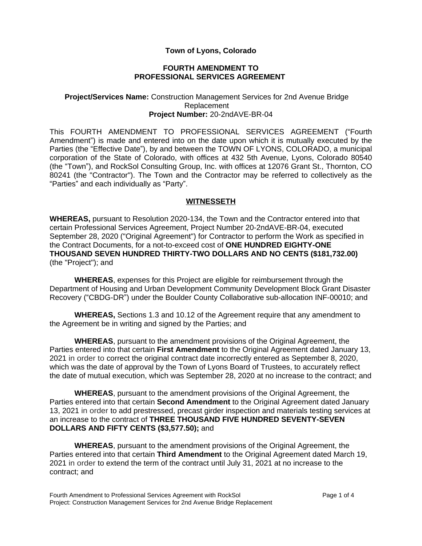# **Town of Lyons, Colorado**

### **FOURTH AMENDMENT TO PROFESSIONAL SERVICES AGREEMENT**

#### **Project/Services Name:** Construction Management Services for 2nd Avenue Bridge Replacement **Project Number:** 20-2ndAVE-BR-04

This FOURTH AMENDMENT TO PROFESSIONAL SERVICES AGREEMENT ("Fourth Amendment") is made and entered into on the date upon which it is mutually executed by the Parties (the "Effective Date"), by and between the TOWN OF LYONS, COLORADO, a municipal corporation of the State of Colorado, with offices at 432 5th Avenue, Lyons, Colorado 80540 (the "Town"), and RockSol Consulting Group, Inc. with offices at 12076 Grant St., Thornton, CO 80241 (the "Contractor"). The Town and the Contractor may be referred to collectively as the "Parties" and each individually as "Party".

## **WITNESSETH**

**WHEREAS,** pursuant to Resolution 2020-134, the Town and the Contractor entered into that certain Professional Services Agreement, Project Number 20-2ndAVE-BR-04, executed September 28, 2020 ("Original Agreement") for Contractor to perform the Work as specified in the Contract Documents, for a not-to-exceed cost of **ONE HUNDRED EIGHTY-ONE THOUSAND SEVEN HUNDRED THIRTY-TWO DOLLARS AND NO CENTS (\$181,732.00)** (the "Project"); and

**WHEREAS**, expenses for this Project are eligible for reimbursement through the Department of Housing and Urban Development Community Development Block Grant Disaster Recovery ("CBDG-DR") under the Boulder County Collaborative sub-allocation INF-00010; and

**WHEREAS,** Sections 1.3 and 10.12 of the Agreement require that any amendment to the Agreement be in writing and signed by the Parties; and

**WHEREAS**, pursuant to the amendment provisions of the Original Agreement, the Parties entered into that certain **First Amendment** to the Original Agreement dated January 13, 2021 in order to correct the original contract date incorrectly entered as September 8, 2020, which was the date of approval by the Town of Lyons Board of Trustees, to accurately reflect the date of mutual execution, which was September 28, 2020 at no increase to the contract; and

**WHEREAS**, pursuant to the amendment provisions of the Original Agreement, the Parties entered into that certain **Second Amendment** to the Original Agreement dated January 13, 2021 in order to add prestressed, precast girder inspection and materials testing services at an increase to the contract of **THREE THOUSAND FIVE HUNDRED SEVENTY-SEVEN DOLLARS AND FIFTY CENTS (\$3,577.50);** and

**WHEREAS**, pursuant to the amendment provisions of the Original Agreement, the Parties entered into that certain **Third Amendment** to the Original Agreement dated March 19, 2021 in order to extend the term of the contract until July 31, 2021 at no increase to the contract; and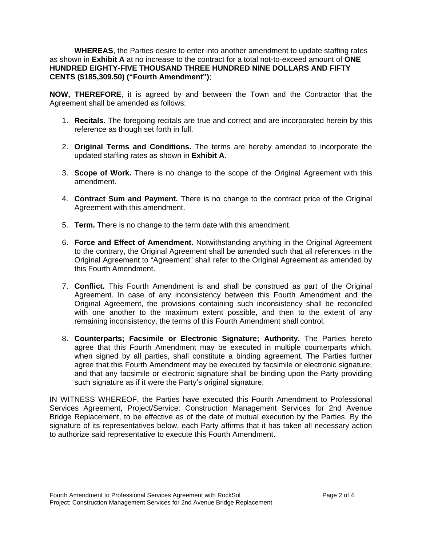**WHEREAS**, the Parties desire to enter into another amendment to update staffing rates as shown in **Exhibit A** at no increase to the contract for a total not-to-exceed amount of **ONE HUNDRED EIGHTY-FIVE THOUSAND THREE HUNDRED NINE DOLLARS AND FIFTY CENTS (\$185,309.50) ("Fourth Amendment")**;

**NOW, THEREFORE**, it is agreed by and between the Town and the Contractor that the Agreement shall be amended as follows:

- 1. **Recitals.** The foregoing recitals are true and correct and are incorporated herein by this reference as though set forth in full.
- 2. **Original Terms and Conditions.** The terms are hereby amended to incorporate the updated staffing rates as shown in **Exhibit A**.
- 3. **Scope of Work.** There is no change to the scope of the Original Agreement with this amendment.
- 4. **Contract Sum and Payment.** There is no change to the contract price of the Original Agreement with this amendment.
- 5. **Term.** There is no change to the term date with this amendment.
- 6. **Force and Effect of Amendment.** Notwithstanding anything in the Original Agreement to the contrary, the Original Agreement shall be amended such that all references in the Original Agreement to "Agreement" shall refer to the Original Agreement as amended by this Fourth Amendment.
- 7. **Conflict.** This Fourth Amendment is and shall be construed as part of the Original Agreement. In case of any inconsistency between this Fourth Amendment and the Original Agreement, the provisions containing such inconsistency shall be reconciled with one another to the maximum extent possible, and then to the extent of any remaining inconsistency, the terms of this Fourth Amendment shall control.
- 8. **Counterparts; Facsimile or Electronic Signature; Authority.** The Parties hereto agree that this Fourth Amendment may be executed in multiple counterparts which, when signed by all parties, shall constitute a binding agreement. The Parties further agree that this Fourth Amendment may be executed by facsimile or electronic signature, and that any facsimile or electronic signature shall be binding upon the Party providing such signature as if it were the Party's original signature.

IN WITNESS WHEREOF, the Parties have executed this Fourth Amendment to Professional Services Agreement, Project/Service: Construction Management Services for 2nd Avenue Bridge Replacement, to be effective as of the date of mutual execution by the Parties. By the signature of its representatives below, each Party affirms that it has taken all necessary action to authorize said representative to execute this Fourth Amendment.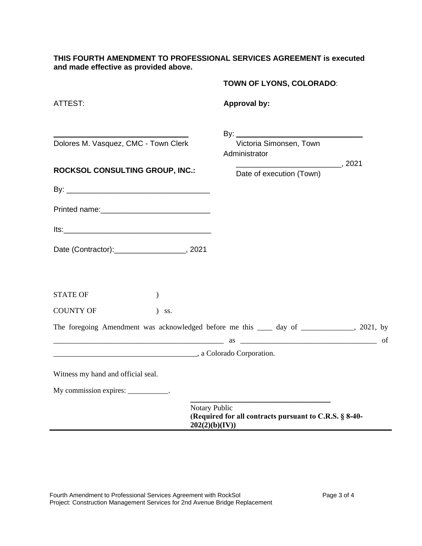**THIS FOURTH AMENDMENT TO PROFESSIONAL SERVICES AGREEMENT is executed and made effective as provided above.**

|                                        | TOWN OF LYONS, COLORADO:                                                                    |
|----------------------------------------|---------------------------------------------------------------------------------------------|
| ATTEST:                                | <b>Approval by:</b>                                                                         |
| Dolores M. Vasquez, CMC - Town Clerk   | Victoria Simonsen, Town<br>Administrator                                                    |
| <b>ROCKSOL CONSULTING GROUP, INC.:</b> | $\sim$ 2021<br>Date of execution (Town)                                                     |
|                                        |                                                                                             |
|                                        |                                                                                             |
|                                        |                                                                                             |
| Date (Contractor): 2021                |                                                                                             |
| <b>STATE OF</b><br>$\lambda$           |                                                                                             |
| <b>COUNTY OF</b><br>$)$ ss.            |                                                                                             |
|                                        | The foregoing Amendment was acknowledged before me this _____ day of ____________, 2021, by |
| a Colorado Corporation.                |                                                                                             |
| Witness my hand and official seal.     |                                                                                             |
| My commission expires: ___________.    |                                                                                             |
|                                        | Notary Public<br>(Required for all contracts pursuant to C.R.S. § 8-40-<br>202(2)(b)(IV))   |